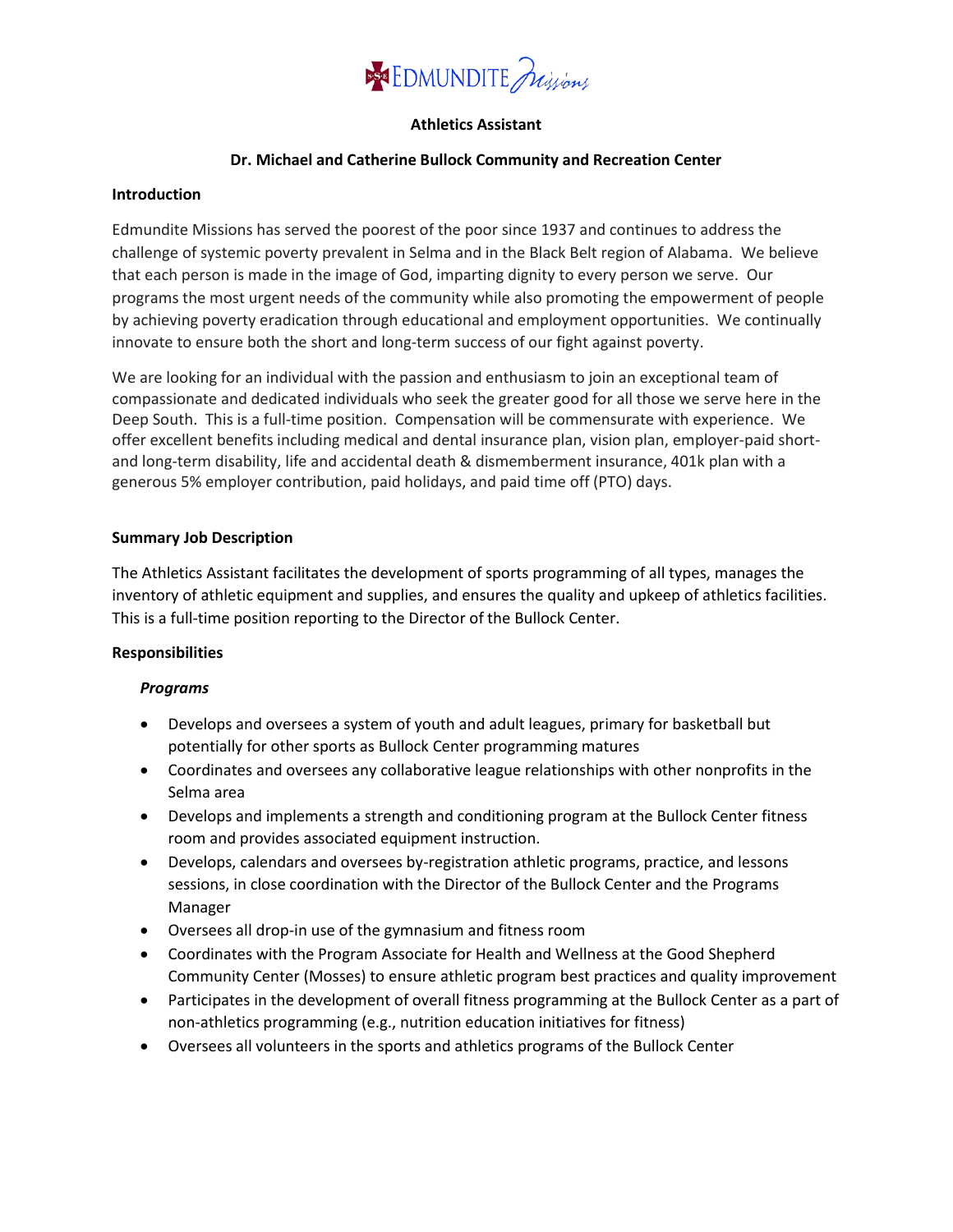

## **Athletics Assistant**

#### **Dr. Michael and Catherine Bullock Community and Recreation Center**

#### **Introduction**

Edmundite Missions has served the poorest of the poor since 1937 and continues to address the challenge of systemic poverty prevalent in Selma and in the Black Belt region of Alabama. We believe that each person is made in the image of God, imparting dignity to every person we serve. Our programs the most urgent needs of the community while also promoting the empowerment of people by achieving poverty eradication through educational and employment opportunities. We continually innovate to ensure both the short and long-term success of our fight against poverty.

We are looking for an individual with the passion and enthusiasm to join an exceptional team of compassionate and dedicated individuals who seek the greater good for all those we serve here in the Deep South. This is a full-time position. Compensation will be commensurate with experience. We offer excellent benefits including medical and dental insurance plan, vision plan, employer-paid shortand long-term disability, life and accidental death & dismemberment insurance, 401k plan with a generous 5% employer contribution, paid holidays, and paid time off (PTO) days.

#### **Summary Job Description**

The Athletics Assistant facilitates the development of sports programming of all types, manages the inventory of athletic equipment and supplies, and ensures the quality and upkeep of athletics facilities. This is a full-time position reporting to the Director of the Bullock Center.

## **Responsibilities**

## *Programs*

- Develops and oversees a system of youth and adult leagues, primary for basketball but potentially for other sports as Bullock Center programming matures
- Coordinates and oversees any collaborative league relationships with other nonprofits in the Selma area
- Develops and implements a strength and conditioning program at the Bullock Center fitness room and provides associated equipment instruction.
- Develops, calendars and oversees by-registration athletic programs, practice, and lessons sessions, in close coordination with the Director of the Bullock Center and the Programs Manager
- Oversees all drop-in use of the gymnasium and fitness room
- Coordinates with the Program Associate for Health and Wellness at the Good Shepherd Community Center (Mosses) to ensure athletic program best practices and quality improvement
- Participates in the development of overall fitness programming at the Bullock Center as a part of non-athletics programming (e.g., nutrition education initiatives for fitness)
- Oversees all volunteers in the sports and athletics programs of the Bullock Center